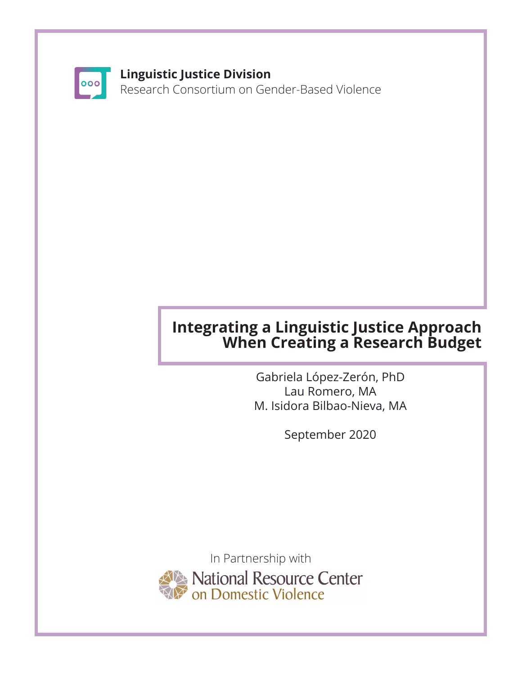

### **Linguistic Justice Division**

Research Consortium on Gender-Based Violence

# **Integrating a Linguistic Justice Approach When Creating a Research Budget**

Gabriela López-Zerón, PhD Lau Romero, MA M. Isidora Bilbao-Nieva, MA

September 2020

In Partnership with National Resource Center<br>On Domestic Violence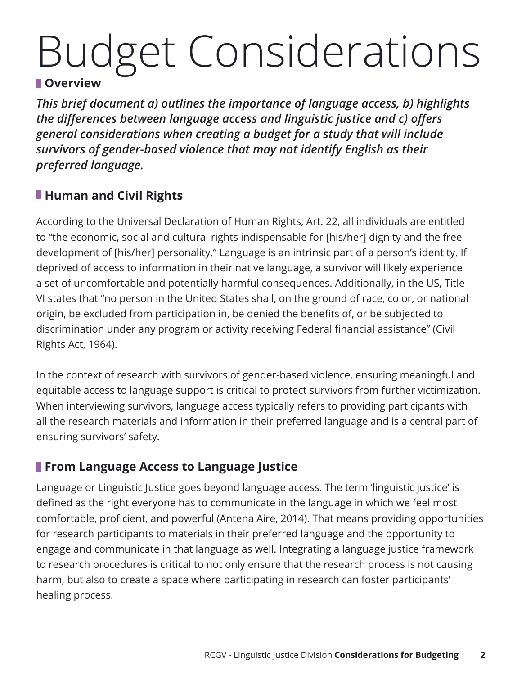# Budget Considerations

#### **Overview**

*This brief document a) outlines the importance of language access, b) highlights the differences between language access and linguistic justice and c) offers general considerations when creating a budget for a study that will include survivors of gender-based violence that may not identify English as their preferred language.* 

# **Human and Civil Rights**

According to the Universal Declaration of Human Rights, Art. 22, all individuals are entitled to "the economic, social and cultural rights indispensable for [his/her] dignity and the free development of [his/her] personality." Language is an intrinsic part of a person's identity. If deprived of access to information in their native language, a survivor will likely experience a set of uncomfortable and potentially harmful consequences. Additionally, in the US, Title VI states that "no person in the United States shall, on the ground of race, color, or national origin, be excluded from participation in, be denied the benefits of, or be subjected to discrimination under any program or activity receiving Federal financial assistance" (Civil Rights Act, 1964).

In the context of research with survivors of gender-based violence, ensuring meaningful and equitable access to language support is critical to protect survivors from further victimization. When interviewing survivors, language access typically refers to providing participants with all the research materials and information in their preferred language and is a central part of ensuring survivors' safety.

## **From Language Access to Language Justice**

Language or Linguistic Justice goes beyond language access. The term 'linguistic justice' is defined as the right everyone has to communicate in the language in which we feel most comfortable, proficient, and powerful (Antena Aire, 2014). That means providing opportunities for research participants to materials in their preferred language and the opportunity to engage and communicate in that language as well. Integrating a language justice framework to research procedures is critical to not only ensure that the research process is not causing harm, but also to create a space where participating in research can foster participants' healing process.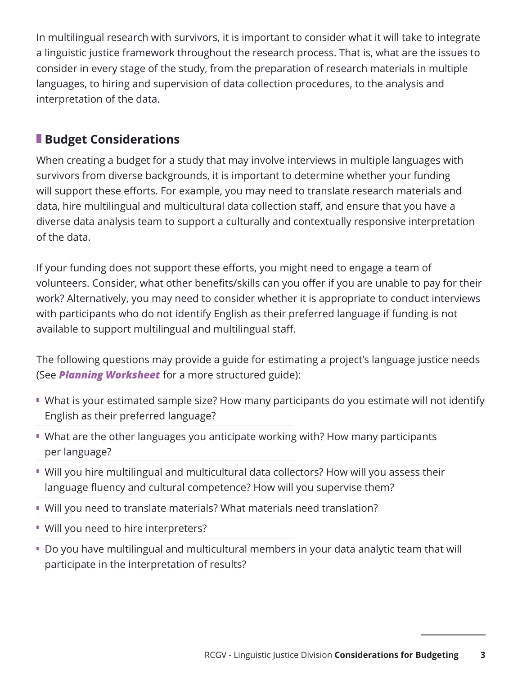In multilingual research with survivors, it is important to consider what it will take to integrate a linguistic justice framework throughout the research process. That is, what are the issues to consider in every stage of the study, from the preparation of research materials in multiple languages, to hiring and supervision of data collection procedures, to the analysis and interpretation of the data.

# **Budget Considerations**

When creating a budget for a study that may involve interviews in multiple languages with survivors from diverse backgrounds, it is important to determine whether your funding will support these efforts. For example, you may need to translate research materials and data, hire multilingual and multicultural data collection staff, and ensure that you have a diverse data analysis team to support a culturally and contextually responsive interpretation of the data.

If your funding does not support these efforts, you might need to engage a team of volunteers. Consider, what other benefits/skills can you offer if you are unable to pay for their work? Alternatively, you may need to consider whether it is appropriate to conduct interviews with participants who do not identify English as their preferred language if funding is not available to support multilingual and multilingual staff.

The following questions may provide a guide for estimating a project's language justice needs (See *Planning Worksheet* for a more structured guide):

- What is your estimated sample size? How many participants do you estimate will not identify English as their preferred language?
- What are the other languages you anticipate working with? How many participants per language?
- Will you hire multilingual and multicultural data collectors? How will you assess their language fluency and cultural competence? How will you supervise them?
- Will you need to translate materials? What materials need translation?
- **Will you need to hire interpreters?**
- Do you have multilingual and multicultural members in your data analytic team that will participate in the interpretation of results?